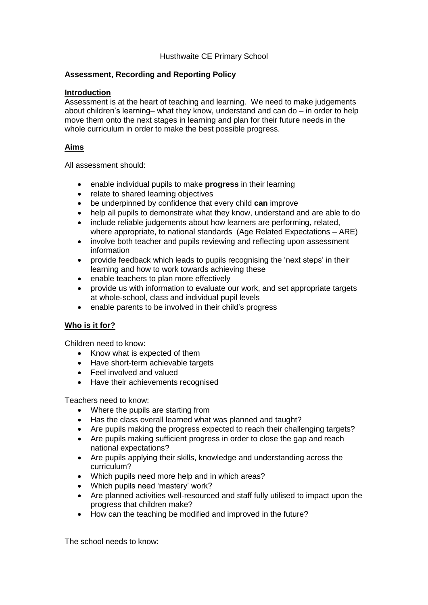### Husthwaite CE Primary School

### **Assessment, Recording and Reporting Policy**

#### **Introduction**

Assessment is at the heart of teaching and learning. We need to make judgements about children's learning– what they know, understand and can do – in order to help move them onto the next stages in learning and plan for their future needs in the whole curriculum in order to make the best possible progress.

### **Aims**

All assessment should:

- enable individual pupils to make **progress** in their learning
- relate to shared learning objectives
- be underpinned by confidence that every child **can** improve
- help all pupils to demonstrate what they know, understand and are able to do
- include reliable judgements about how learners are performing, related, where appropriate, to national standards (Age Related Expectations – ARE)
- involve both teacher and pupils reviewing and reflecting upon assessment information
- provide feedback which leads to pupils recognising the 'next steps' in their learning and how to work towards achieving these
- enable teachers to plan more effectively
- provide us with information to evaluate our work, and set appropriate targets at whole‐school, class and individual pupil levels
- enable parents to be involved in their child's progress

# **Who is it for?**

Children need to know:

- Know what is expected of them
- Have short-term achievable targets
- Feel involved and valued
- Have their achievements recognised

Teachers need to know:

- Where the pupils are starting from
- Has the class overall learned what was planned and taught?
- Are pupils making the progress expected to reach their challenging targets?
- Are pupils making sufficient progress in order to close the gap and reach national expectations?
- Are pupils applying their skills, knowledge and understanding across the curriculum?
- Which pupils need more help and in which areas?
- Which pupils need 'mastery' work?
- Are planned activities well-resourced and staff fully utilised to impact upon the progress that children make?
- How can the teaching be modified and improved in the future?

The school needs to know: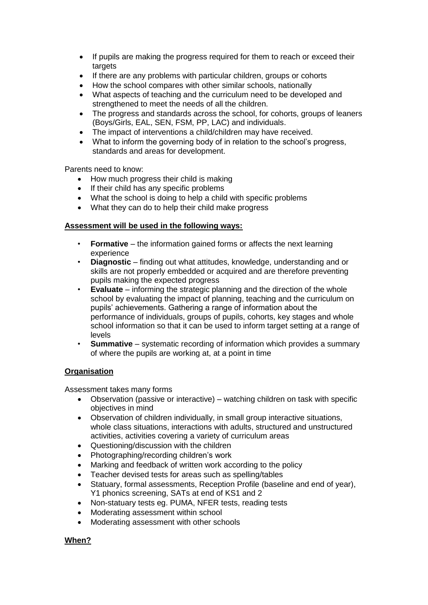- If pupils are making the progress required for them to reach or exceed their targets
- If there are any problems with particular children, groups or cohorts
- How the school compares with other similar schools, nationally
- What aspects of teaching and the curriculum need to be developed and strengthened to meet the needs of all the children.
- The progress and standards across the school, for cohorts, groups of leaners (Boys/Girls, EAL, SEN, FSM, PP, LAC) and individuals.
- The impact of interventions a child/children may have received.
- What to inform the governing body of in relation to the school's progress, standards and areas for development.

Parents need to know:

- How much progress their child is making
- If their child has any specific problems
- What the school is doing to help a child with specific problems
- What they can do to help their child make progress

### **Assessment will be used in the following ways:**

- **Formative** the information gained forms or affects the next learning experience
- **Diagnostic** finding out what attitudes, knowledge, understanding and or skills are not properly embedded or acquired and are therefore preventing pupils making the expected progress
- **Evaluate** informing the strategic planning and the direction of the whole school by evaluating the impact of planning, teaching and the curriculum on pupils' achievements. Gathering a range of information about the performance of individuals, groups of pupils, cohorts, key stages and whole school information so that it can be used to inform target setting at a range of levels
- **Summative** systematic recording of information which provides a summary of where the pupils are working at, at a point in time

### **Organisation**

Assessment takes many forms

- Observation (passive or interactive) watching children on task with specific objectives in mind
- Observation of children individually, in small group interactive situations, whole class situations, interactions with adults, structured and unstructured activities, activities covering a variety of curriculum areas
- Questioning/discussion with the children
- Photographing/recording children's work
- Marking and feedback of written work according to the policy
- Teacher devised tests for areas such as spelling/tables
- Statuary, formal assessments, Reception Profile (baseline and end of year), Y1 phonics screening, SATs at end of KS1 and 2
- Non-statuary tests eg. PUMA, NFER tests, reading tests
- Moderating assessment within school
- Moderating assessment with other schools

### **When?**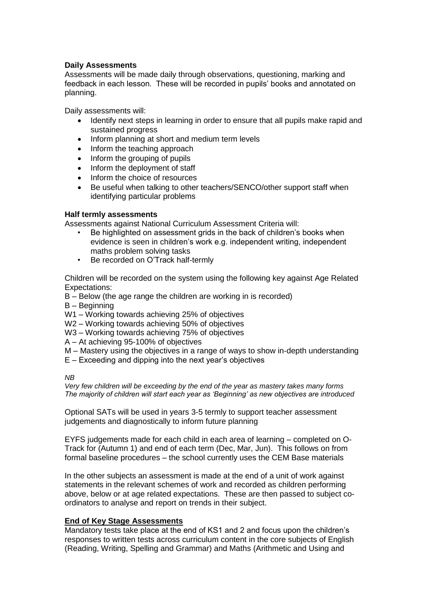### **Daily Assessments**

Assessments will be made daily through observations, questioning, marking and feedback in each lesson. These will be recorded in pupils' books and annotated on planning.

Daily assessments will:

- Identify next steps in learning in order to ensure that all pupils make rapid and sustained progress
- Inform planning at short and medium term levels<br>• Inform the teaching approach
- Inform the teaching approach
- Inform the grouping of pupils
- Inform the deployment of staff
- Inform the choice of resources
- Be useful when talking to other teachers/SENCO/other support staff when identifying particular problems

#### **Half termly assessments**

Assessments against National Curriculum Assessment Criteria will:

- Be highlighted on assessment grids in the back of children's books when evidence is seen in children's work e.g. independent writing, independent maths problem solving tasks
- Be recorded on O'Track half-termly

Children will be recorded on the system using the following key against Age Related Expectations:

- B Below (the age range the children are working in is recorded)
- B Beginning
- W1 Working towards achieving 25% of objectives
- W2 Working towards achieving 50% of objectives
- W3 Working towards achieving 75% of objectives
- A At achieving 95-100% of objectives
- M Mastery using the objectives in a range of ways to show in-depth understanding
- E Exceeding and dipping into the next year's objectives

*NB*

*Very few children will be exceeding by the end of the year as mastery takes many forms The majority of children will start each year as 'Beginning' as new objectives are introduced*

Optional SATs will be used in years 3-5 termly to support teacher assessment judgements and diagnostically to inform future planning

EYFS judgements made for each child in each area of learning – completed on O-Track for (Autumn 1) and end of each term (Dec, Mar, Jun). This follows on from formal baseline procedures – the school currently uses the CEM Base materials

In the other subjects an assessment is made at the end of a unit of work against statements in the relevant schemes of work and recorded as children performing above, below or at age related expectations. These are then passed to subject coordinators to analyse and report on trends in their subject.

### **End of Key Stage Assessments**

Mandatory tests take place at the end of KS1 and 2 and focus upon the children's responses to written tests across curriculum content in the core subjects of English (Reading, Writing, Spelling and Grammar) and Maths (Arithmetic and Using and